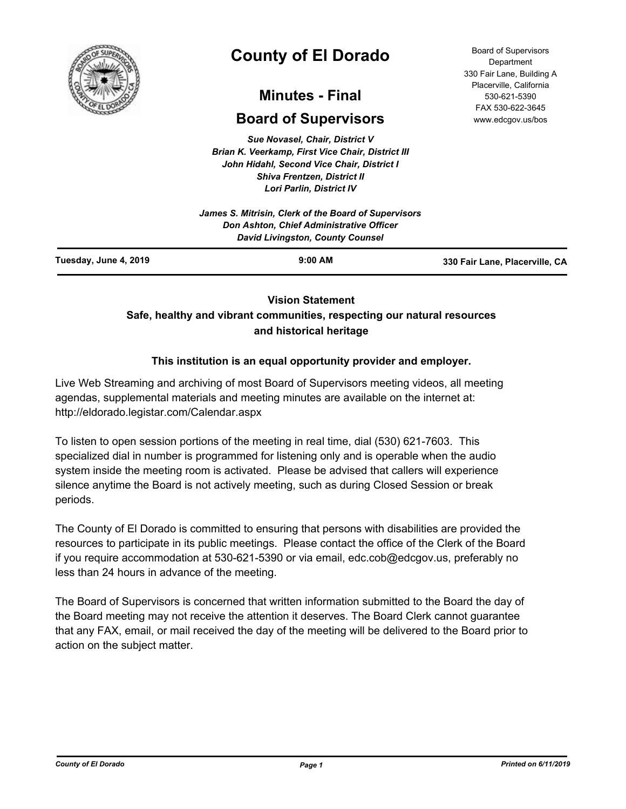

# **County of El Dorado**

# **Minutes - Final**

# **Board of Supervisors**

*Sue Novasel, Chair, District V Brian K. Veerkamp, First Vice Chair, District III John Hidahl, Second Vice Chair, District I Shiva Frentzen, District II Lori Parlin, District IV*

| Tuesday, June 4, 2019 | $9:00$ AM                                                                           | 330 Fair Lane, Placerville, CA |
|-----------------------|-------------------------------------------------------------------------------------|--------------------------------|
|                       | Don Ashton, Chief Administrative Officer<br><b>David Livingston, County Counsel</b> |                                |
|                       | James S. Mitrisin, Clerk of the Board of Supervisors                                |                                |
|                       |                                                                                     |                                |

# **Vision Statement**

# **Safe, healthy and vibrant communities, respecting our natural resources and historical heritage**

# **This institution is an equal opportunity provider and employer.**

Live Web Streaming and archiving of most Board of Supervisors meeting videos, all meeting agendas, supplemental materials and meeting minutes are available on the internet at: http://eldorado.legistar.com/Calendar.aspx

To listen to open session portions of the meeting in real time, dial (530) 621-7603. This specialized dial in number is programmed for listening only and is operable when the audio system inside the meeting room is activated. Please be advised that callers will experience silence anytime the Board is not actively meeting, such as during Closed Session or break periods.

The County of El Dorado is committed to ensuring that persons with disabilities are provided the resources to participate in its public meetings. Please contact the office of the Clerk of the Board if you require accommodation at 530-621-5390 or via email, edc.cob@edcgov.us, preferably no less than 24 hours in advance of the meeting.

The Board of Supervisors is concerned that written information submitted to the Board the day of the Board meeting may not receive the attention it deserves. The Board Clerk cannot guarantee that any FAX, email, or mail received the day of the meeting will be delivered to the Board prior to action on the subject matter.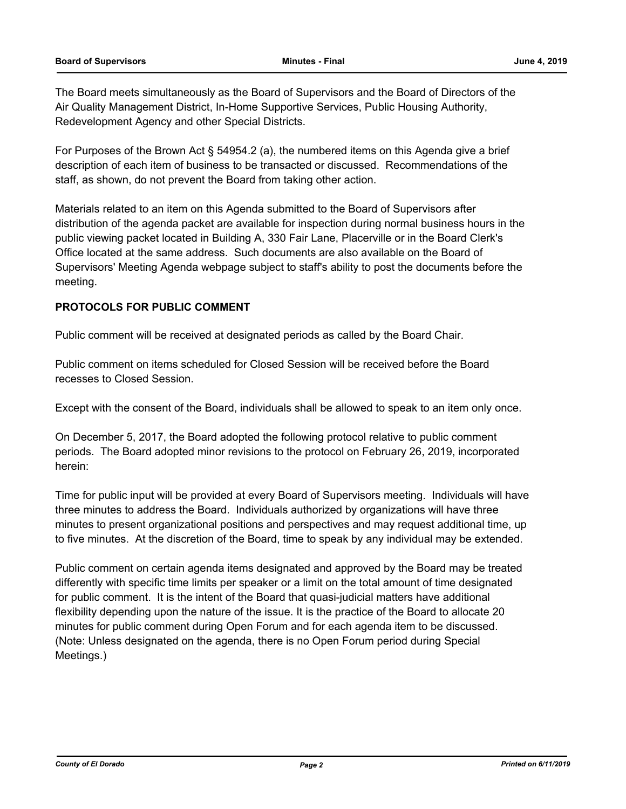The Board meets simultaneously as the Board of Supervisors and the Board of Directors of the Air Quality Management District, In-Home Supportive Services, Public Housing Authority, Redevelopment Agency and other Special Districts.

For Purposes of the Brown Act § 54954.2 (a), the numbered items on this Agenda give a brief description of each item of business to be transacted or discussed. Recommendations of the staff, as shown, do not prevent the Board from taking other action.

Materials related to an item on this Agenda submitted to the Board of Supervisors after distribution of the agenda packet are available for inspection during normal business hours in the public viewing packet located in Building A, 330 Fair Lane, Placerville or in the Board Clerk's Office located at the same address. Such documents are also available on the Board of Supervisors' Meeting Agenda webpage subject to staff's ability to post the documents before the meeting.

# **PROTOCOLS FOR PUBLIC COMMENT**

Public comment will be received at designated periods as called by the Board Chair.

Public comment on items scheduled for Closed Session will be received before the Board recesses to Closed Session.

Except with the consent of the Board, individuals shall be allowed to speak to an item only once.

On December 5, 2017, the Board adopted the following protocol relative to public comment periods. The Board adopted minor revisions to the protocol on February 26, 2019, incorporated herein:

Time for public input will be provided at every Board of Supervisors meeting. Individuals will have three minutes to address the Board. Individuals authorized by organizations will have three minutes to present organizational positions and perspectives and may request additional time, up to five minutes. At the discretion of the Board, time to speak by any individual may be extended.

Public comment on certain agenda items designated and approved by the Board may be treated differently with specific time limits per speaker or a limit on the total amount of time designated for public comment. It is the intent of the Board that quasi-judicial matters have additional flexibility depending upon the nature of the issue. It is the practice of the Board to allocate 20 minutes for public comment during Open Forum and for each agenda item to be discussed. (Note: Unless designated on the agenda, there is no Open Forum period during Special Meetings.)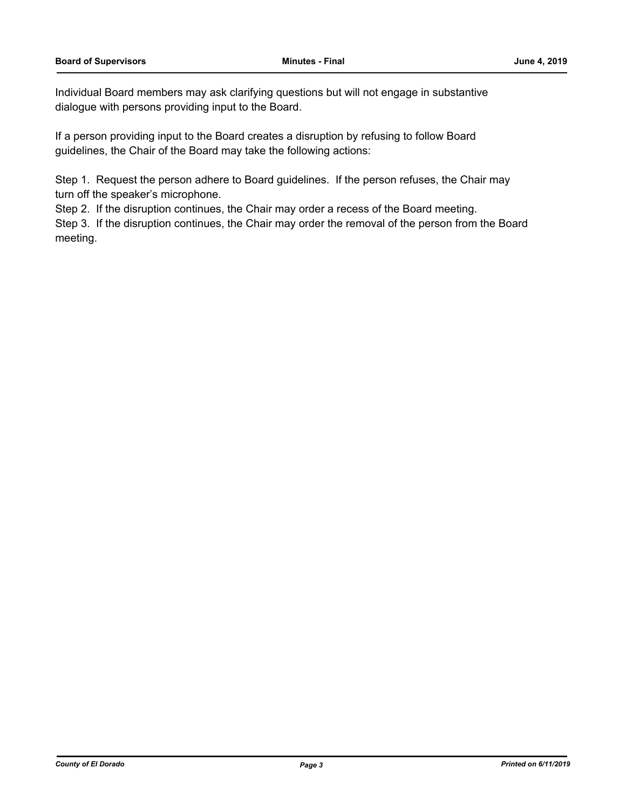Individual Board members may ask clarifying questions but will not engage in substantive dialogue with persons providing input to the Board.

If a person providing input to the Board creates a disruption by refusing to follow Board guidelines, the Chair of the Board may take the following actions:

Step 1. Request the person adhere to Board guidelines. If the person refuses, the Chair may turn off the speaker's microphone.

Step 2. If the disruption continues, the Chair may order a recess of the Board meeting.

Step 3. If the disruption continues, the Chair may order the removal of the person from the Board meeting.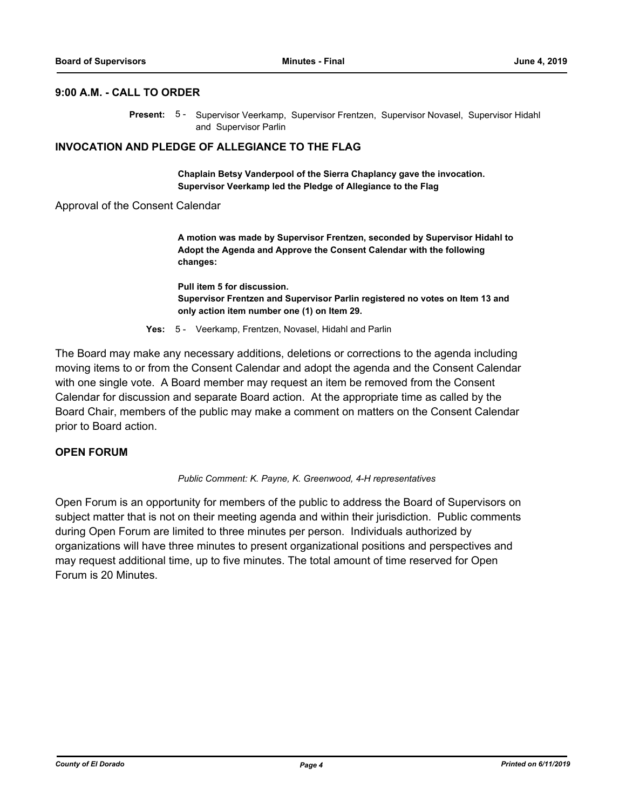# **9:00 A.M. - CALL TO ORDER**

Present: 5 - Supervisor Veerkamp, Supervisor Frentzen, Supervisor Novasel, Supervisor Hidahl and Supervisor Parlin

# **INVOCATION AND PLEDGE OF ALLEGIANCE TO THE FLAG**

**Chaplain Betsy Vanderpool of the Sierra Chaplancy gave the invocation. Supervisor Veerkamp led the Pledge of Allegiance to the Flag**

Approval of the Consent Calendar

**A motion was made by Supervisor Frentzen, seconded by Supervisor Hidahl to Adopt the Agenda and Approve the Consent Calendar with the following changes:**

**Pull item 5 for discussion. Supervisor Frentzen and Supervisor Parlin registered no votes on Item 13 and only action item number one (1) on Item 29.**

**Yes:** 5 - Veerkamp, Frentzen, Novasel, Hidahl and Parlin

The Board may make any necessary additions, deletions or corrections to the agenda including moving items to or from the Consent Calendar and adopt the agenda and the Consent Calendar with one single vote. A Board member may request an item be removed from the Consent Calendar for discussion and separate Board action. At the appropriate time as called by the Board Chair, members of the public may make a comment on matters on the Consent Calendar prior to Board action.

# **OPEN FORUM**

### *Public Comment: K. Payne, K. Greenwood, 4-H representatives*

Open Forum is an opportunity for members of the public to address the Board of Supervisors on subject matter that is not on their meeting agenda and within their jurisdiction. Public comments during Open Forum are limited to three minutes per person. Individuals authorized by organizations will have three minutes to present organizational positions and perspectives and may request additional time, up to five minutes. The total amount of time reserved for Open Forum is 20 Minutes.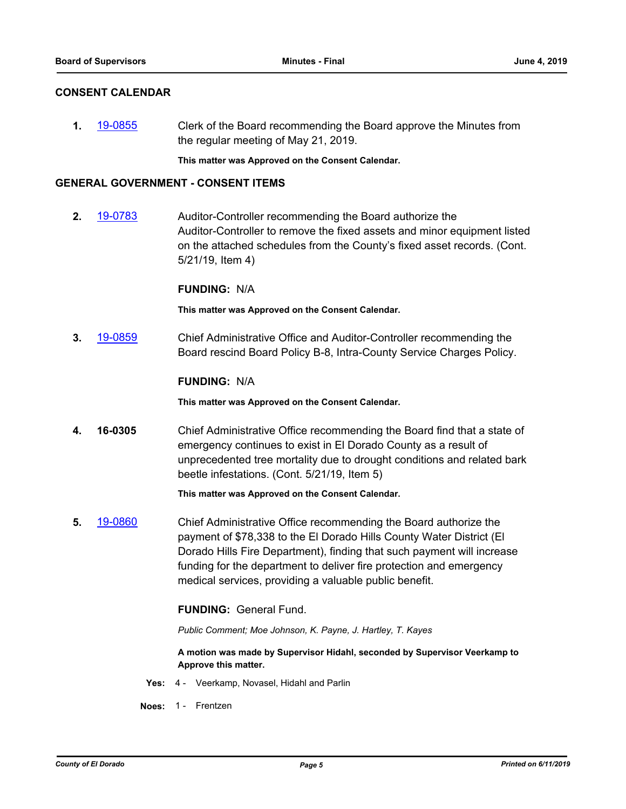# **CONSENT CALENDAR**

**1.** [19-0855](http://eldorado.legistar.com/gateway.aspx?m=l&id=/matter.aspx?key=26178) Clerk of the Board recommending the Board approve the Minutes from the regular meeting of May 21, 2019.

**This matter was Approved on the Consent Calendar.**

### **GENERAL GOVERNMENT - CONSENT ITEMS**

**2.** [19-0783](http://eldorado.legistar.com/gateway.aspx?m=l&id=/matter.aspx?key=26105) Auditor-Controller recommending the Board authorize the Auditor-Controller to remove the fixed assets and minor equipment listed on the attached schedules from the County's fixed asset records. (Cont. 5/21/19, Item 4)

# **FUNDING:** N/A

**This matter was Approved on the Consent Calendar.**

**3.** [19-0859](http://eldorado.legistar.com/gateway.aspx?m=l&id=/matter.aspx?key=26182) Chief Administrative Office and Auditor-Controller recommending the Board rescind Board Policy B-8, Intra-County Service Charges Policy.

# **FUNDING:** N/A

**This matter was Approved on the Consent Calendar.**

**4. 16-0305** Chief Administrative Office recommending the Board find that a state of emergency continues to exist in El Dorado County as a result of unprecedented tree mortality due to drought conditions and related bark beetle infestations. (Cont. 5/21/19, Item 5)

### **This matter was Approved on the Consent Calendar.**

**5.** [19-0860](http://eldorado.legistar.com/gateway.aspx?m=l&id=/matter.aspx?key=26183) Chief Administrative Office recommending the Board authorize the payment of \$78,338 to the El Dorado Hills County Water District (El Dorado Hills Fire Department), finding that such payment will increase funding for the department to deliver fire protection and emergency medical services, providing a valuable public benefit.

### **FUNDING:** General Fund.

*Public Comment; Moe Johnson, K. Payne, J. Hartley, T. Kayes*

**A motion was made by Supervisor Hidahl, seconded by Supervisor Veerkamp to Approve this matter.**

- **Yes:** 4 Veerkamp, Novasel, Hidahl and Parlin
- **Noes:** 1 Frentzen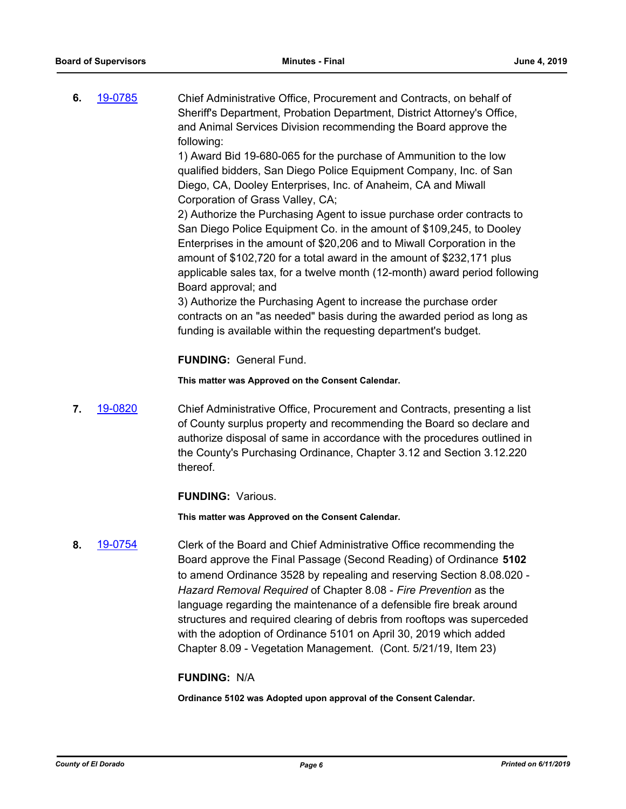**6.** [19-0785](http://eldorado.legistar.com/gateway.aspx?m=l&id=/matter.aspx?key=26107) Chief Administrative Office, Procurement and Contracts, on behalf of Sheriff's Department, Probation Department, District Attorney's Office, and Animal Services Division recommending the Board approve the following:

1) Award Bid 19-680-065 for the purchase of Ammunition to the low qualified bidders, San Diego Police Equipment Company, Inc. of San Diego, CA, Dooley Enterprises, Inc. of Anaheim, CA and Miwall Corporation of Grass Valley, CA;

2) Authorize the Purchasing Agent to issue purchase order contracts to San Diego Police Equipment Co. in the amount of \$109,245, to Dooley Enterprises in the amount of \$20,206 and to Miwall Corporation in the amount of \$102,720 for a total award in the amount of \$232,171 plus applicable sales tax, for a twelve month (12-month) award period following Board approval; and

3) Authorize the Purchasing Agent to increase the purchase order contracts on an "as needed" basis during the awarded period as long as funding is available within the requesting department's budget.

# **FUNDING:** General Fund.

# **This matter was Approved on the Consent Calendar.**

**7.** [19-0820](http://eldorado.legistar.com/gateway.aspx?m=l&id=/matter.aspx?key=26143) Chief Administrative Office, Procurement and Contracts, presenting a list of County surplus property and recommending the Board so declare and authorize disposal of same in accordance with the procedures outlined in the County's Purchasing Ordinance, Chapter 3.12 and Section 3.12.220 thereof.

# **FUNDING:** Various.

**This matter was Approved on the Consent Calendar.**

**8.** [19-0754](http://eldorado.legistar.com/gateway.aspx?m=l&id=/matter.aspx?key=26076) Clerk of the Board and Chief Administrative Office recommending the Board approve the Final Passage (Second Reading) of Ordinance **5102** to amend Ordinance 3528 by repealing and reserving Section 8.08.020 - *Hazard Removal Required* of Chapter 8.08 - *Fire Prevention* as the language regarding the maintenance of a defensible fire break around structures and required clearing of debris from rooftops was superceded with the adoption of Ordinance 5101 on April 30, 2019 which added Chapter 8.09 - Vegetation Management. (Cont. 5/21/19, Item 23)

# **FUNDING:** N/A

**Ordinance 5102 was Adopted upon approval of the Consent Calendar.**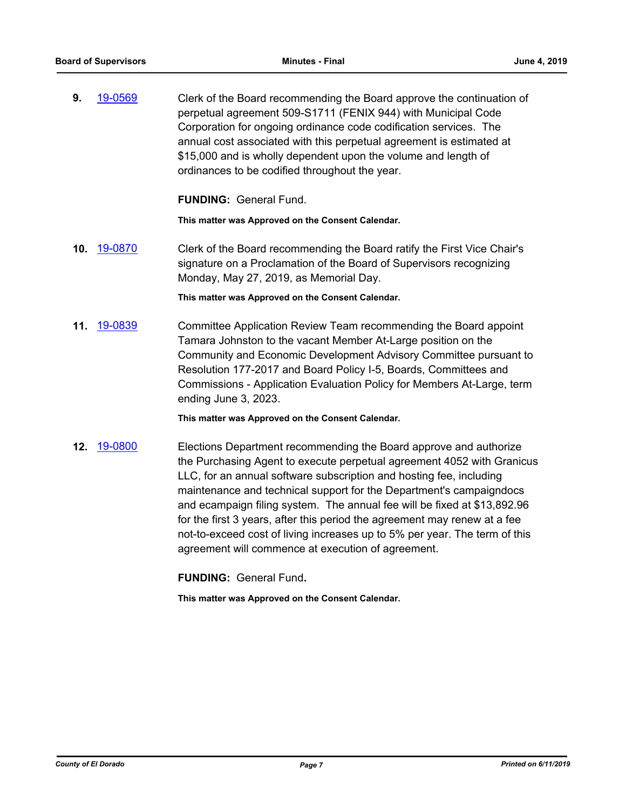**9.** [19-0569](http://eldorado.legistar.com/gateway.aspx?m=l&id=/matter.aspx?key=25890) Clerk of the Board recommending the Board approve the continuation of perpetual agreement 509-S1711 (FENIX 944) with Municipal Code Corporation for ongoing ordinance code codification services. The annual cost associated with this perpetual agreement is estimated at \$15,000 and is wholly dependent upon the volume and length of ordinances to be codified throughout the year.

**FUNDING:** General Fund.

**This matter was Approved on the Consent Calendar.**

**10.** [19-0870](http://eldorado.legistar.com/gateway.aspx?m=l&id=/matter.aspx?key=26193) Clerk of the Board recommending the Board ratify the First Vice Chair's signature on a Proclamation of the Board of Supervisors recognizing Monday, May 27, 2019, as Memorial Day.

**This matter was Approved on the Consent Calendar.**

**11.** [19-0839](http://eldorado.legistar.com/gateway.aspx?m=l&id=/matter.aspx?key=26162) Committee Application Review Team recommending the Board appoint Tamara Johnston to the vacant Member At-Large position on the Community and Economic Development Advisory Committee pursuant to Resolution 177-2017 and Board Policy I-5, Boards, Committees and Commissions - Application Evaluation Policy for Members At-Large, term ending June 3, 2023.

**This matter was Approved on the Consent Calendar.**

**12.** [19-0800](http://eldorado.legistar.com/gateway.aspx?m=l&id=/matter.aspx?key=26123) Elections Department recommending the Board approve and authorize the Purchasing Agent to execute perpetual agreement 4052 with Granicus LLC, for an annual software subscription and hosting fee, including maintenance and technical support for the Department's campaigndocs and ecampaign filing system. The annual fee will be fixed at \$13,892.96 for the first 3 years, after this period the agreement may renew at a fee not-to-exceed cost of living increases up to 5% per year. The term of this agreement will commence at execution of agreement.

**FUNDING:** General Fund**.**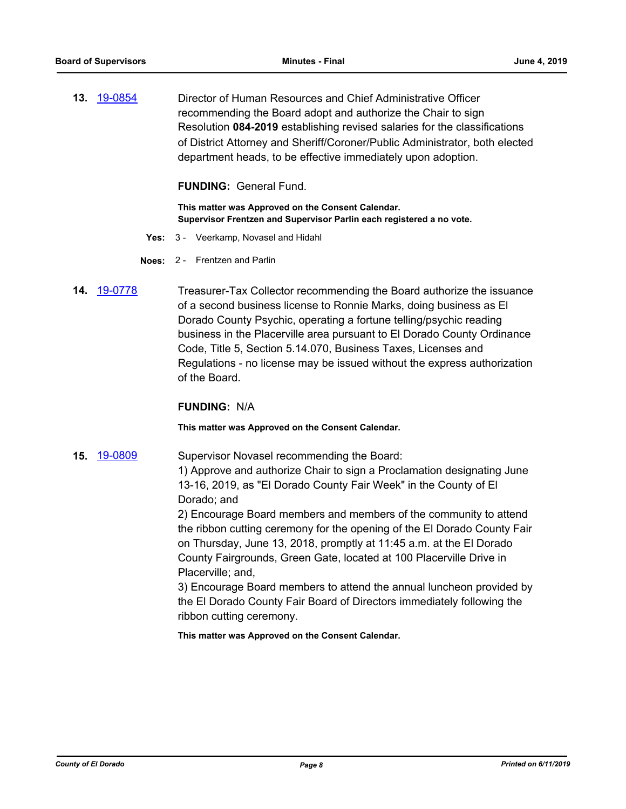**13.** [19-0854](http://eldorado.legistar.com/gateway.aspx?m=l&id=/matter.aspx?key=26177) Director of Human Resources and Chief Administrative Officer recommending the Board adopt and authorize the Chair to sign Resolution **084-2019** establishing revised salaries for the classifications of District Attorney and Sheriff/Coroner/Public Administrator, both elected department heads, to be effective immediately upon adoption.

**FUNDING:** General Fund.

**This matter was Approved on the Consent Calendar. Supervisor Frentzen and Supervisor Parlin each registered a no vote.**

- **Yes:** 3 Veerkamp, Novasel and Hidahl
- **Noes:** 2 Frentzen and Parlin
- **14.** [19-0778](http://eldorado.legistar.com/gateway.aspx?m=l&id=/matter.aspx?key=26100) Treasurer-Tax Collector recommending the Board authorize the issuance of a second business license to Ronnie Marks, doing business as El Dorado County Psychic, operating a fortune telling/psychic reading business in the Placerville area pursuant to El Dorado County Ordinance Code, Title 5, Section 5.14.070, Business Taxes, Licenses and Regulations - no license may be issued without the express authorization of the Board.

# **FUNDING:** N/A

**This matter was Approved on the Consent Calendar.**

**15.** [19-0809](http://eldorado.legistar.com/gateway.aspx?m=l&id=/matter.aspx?key=26132) Supervisor Novasel recommending the Board: 1) Approve and authorize Chair to sign a Proclamation designating June 13-16, 2019, as "El Dorado County Fair Week" in the County of El Dorado; and

> 2) Encourage Board members and members of the community to attend the ribbon cutting ceremony for the opening of the El Dorado County Fair on Thursday, June 13, 2018, promptly at 11:45 a.m. at the El Dorado County Fairgrounds, Green Gate, located at 100 Placerville Drive in Placerville; and,

> 3) Encourage Board members to attend the annual luncheon provided by the El Dorado County Fair Board of Directors immediately following the ribbon cutting ceremony.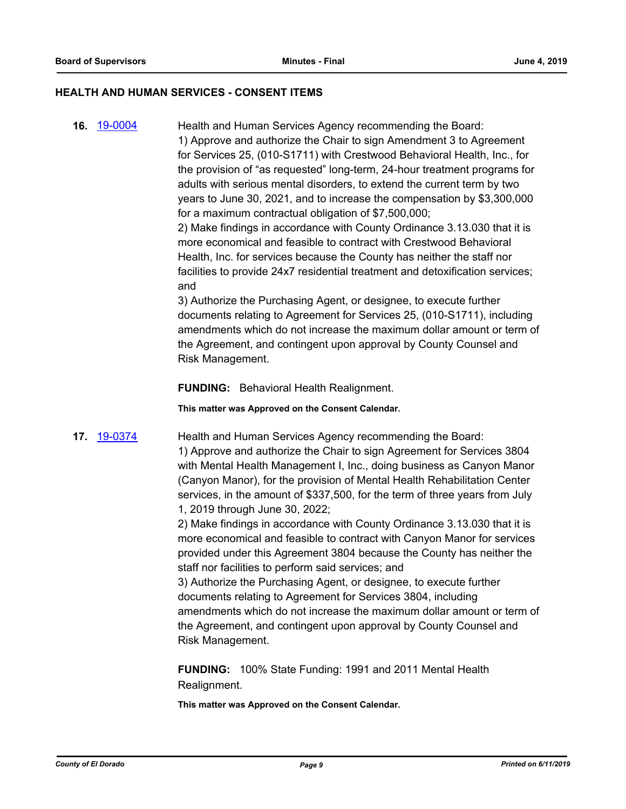### **HEALTH AND HUMAN SERVICES - CONSENT ITEMS**

**16.** [19-0004](http://eldorado.legistar.com/gateway.aspx?m=l&id=/matter.aspx?key=25325) Health and Human Services Agency recommending the Board: 1) Approve and authorize the Chair to sign Amendment 3 to Agreement for Services 25, (010-S1711) with Crestwood Behavioral Health, Inc., for the provision of "as requested" long-term, 24-hour treatment programs for adults with serious mental disorders, to extend the current term by two years to June 30, 2021, and to increase the compensation by \$3,300,000 for a maximum contractual obligation of \$7,500,000;

2) Make findings in accordance with County Ordinance 3.13.030 that it is more economical and feasible to contract with Crestwood Behavioral Health, Inc. for services because the County has neither the staff nor facilities to provide 24x7 residential treatment and detoxification services; and

3) Authorize the Purchasing Agent, or designee, to execute further documents relating to Agreement for Services 25, (010-S1711), including amendments which do not increase the maximum dollar amount or term of the Agreement, and contingent upon approval by County Counsel and Risk Management.

**FUNDING:** Behavioral Health Realignment.

**This matter was Approved on the Consent Calendar.**

**17.** [19-0374](http://eldorado.legistar.com/gateway.aspx?m=l&id=/matter.aspx?key=25695) Health and Human Services Agency recommending the Board: 1) Approve and authorize the Chair to sign Agreement for Services 3804 with Mental Health Management I, Inc., doing business as Canyon Manor (Canyon Manor), for the provision of Mental Health Rehabilitation Center services, in the amount of \$337,500, for the term of three years from July

1, 2019 through June 30, 2022;

2) Make findings in accordance with County Ordinance 3.13.030 that it is more economical and feasible to contract with Canyon Manor for services provided under this Agreement 3804 because the County has neither the staff nor facilities to perform said services; and

3) Authorize the Purchasing Agent, or designee, to execute further documents relating to Agreement for Services 3804, including amendments which do not increase the maximum dollar amount or term of the Agreement, and contingent upon approval by County Counsel and Risk Management.

**FUNDING:** 100% State Funding: 1991 and 2011 Mental Health Realignment.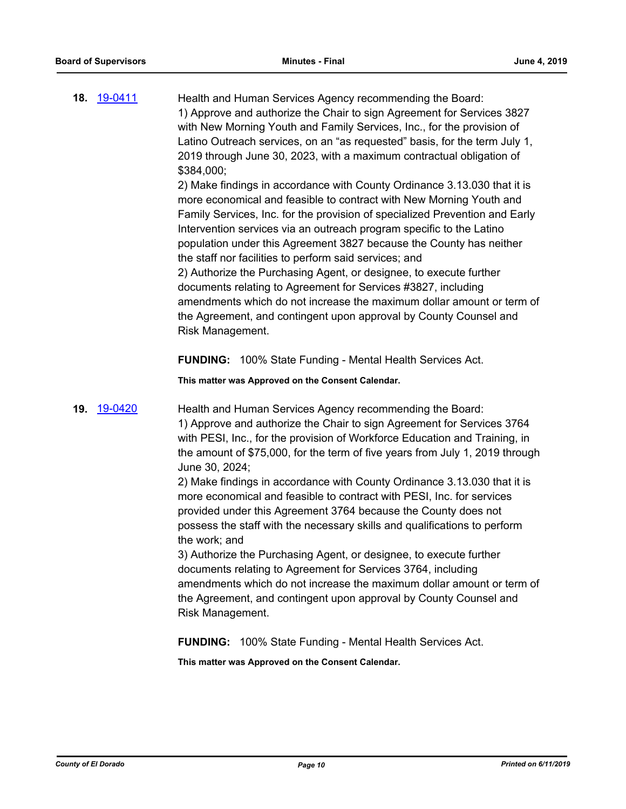| 18. 19-0411 | Health and Human Services Agency recommending the Board:<br>1) Approve and authorize the Chair to sign Agreement for Services 3827              |
|-------------|-------------------------------------------------------------------------------------------------------------------------------------------------|
|             | with New Morning Youth and Family Services, Inc., for the provision of                                                                          |
|             | Latino Outreach services, on an "as requested" basis, for the term July 1,                                                                      |
|             | 2019 through June 30, 2023, with a maximum contractual obligation of<br>\$384,000;                                                              |
|             | 2) Make findings in accordance with County Ordinance 3.13.030 that it is<br>more economical and feasible to contract with New Morning Youth and |
|             | Family Services, Inc. for the provision of specialized Prevention and Early                                                                     |
|             | Intervention services via an outreach program specific to the Latino<br>population under this Agreement 3827 because the County has neither     |
|             | the staff nor facilities to perform said services; and                                                                                          |
|             | 2) Authorize the Purchasing Agent, or designee, to execute further<br>documents relating to Agreement for Services #3827, including             |
|             | amendments which do not increase the maximum dollar amount or term of                                                                           |
|             | the Agreement, and contingent upon approval by County Counsel and<br>Risk Management.                                                           |
|             |                                                                                                                                                 |

**FUNDING:** 100% State Funding - Mental Health Services Act.

**This matter was Approved on the Consent Calendar.**

**19.** [19-0420](http://eldorado.legistar.com/gateway.aspx?m=l&id=/matter.aspx?key=25741) Health and Human Services Agency recommending the Board: 1) Approve and authorize the Chair to sign Agreement for Services 3764 with PESI, Inc., for the provision of Workforce Education and Training, in the amount of \$75,000, for the term of five years from July 1, 2019 through June 30, 2024;

> 2) Make findings in accordance with County Ordinance 3.13.030 that it is more economical and feasible to contract with PESI, Inc. for services provided under this Agreement 3764 because the County does not possess the staff with the necessary skills and qualifications to perform the work; and

3) Authorize the Purchasing Agent, or designee, to execute further documents relating to Agreement for Services 3764, including amendments which do not increase the maximum dollar amount or term of the Agreement, and contingent upon approval by County Counsel and Risk Management.

**FUNDING:** 100% State Funding - Mental Health Services Act.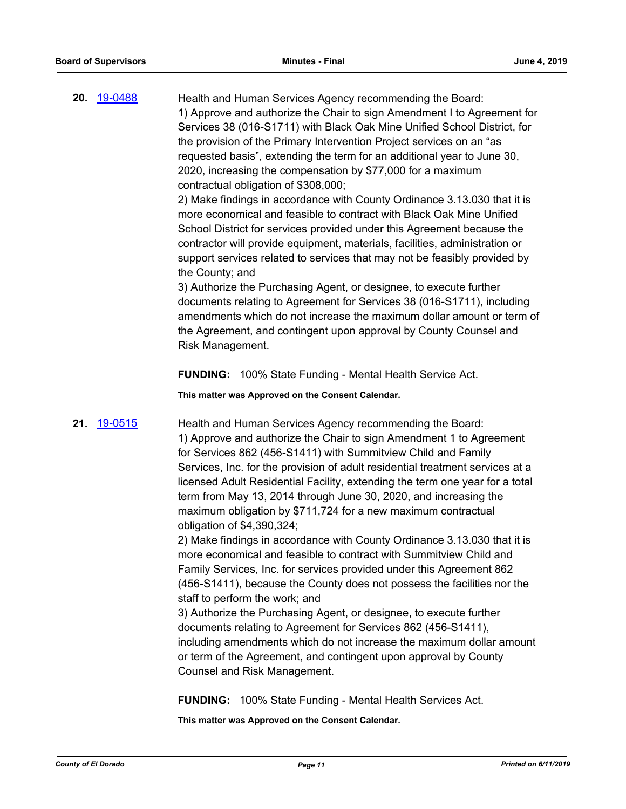**20.** [19-0488](http://eldorado.legistar.com/gateway.aspx?m=l&id=/matter.aspx?key=25809) Health and Human Services Agency recommending the Board: 1) Approve and authorize the Chair to sign Amendment I to Agreement for Services 38 (016-S1711) with Black Oak Mine Unified School District, for the provision of the Primary Intervention Project services on an "as requested basis", extending the term for an additional year to June 30, 2020, increasing the compensation by \$77,000 for a maximum contractual obligation of \$308,000;

2) Make findings in accordance with County Ordinance 3.13.030 that it is more economical and feasible to contract with Black Oak Mine Unified School District for services provided under this Agreement because the contractor will provide equipment, materials, facilities, administration or support services related to services that may not be feasibly provided by the County; and

3) Authorize the Purchasing Agent, or designee, to execute further documents relating to Agreement for Services 38 (016-S1711), including amendments which do not increase the maximum dollar amount or term of the Agreement, and contingent upon approval by County Counsel and Risk Management.

**FUNDING:** 100% State Funding - Mental Health Service Act.

**This matter was Approved on the Consent Calendar.**

**21.** [19-0515](http://eldorado.legistar.com/gateway.aspx?m=l&id=/matter.aspx?key=25836) Health and Human Services Agency recommending the Board: 1) Approve and authorize the Chair to sign Amendment 1 to Agreement for Services 862 (456-S1411) with Summitview Child and Family Services, Inc. for the provision of adult residential treatment services at a licensed Adult Residential Facility, extending the term one year for a total term from May 13, 2014 through June 30, 2020, and increasing the maximum obligation by \$711,724 for a new maximum contractual obligation of \$4,390,324;

> 2) Make findings in accordance with County Ordinance 3.13.030 that it is more economical and feasible to contract with Summitview Child and Family Services, Inc. for services provided under this Agreement 862 (456-S1411), because the County does not possess the facilities nor the staff to perform the work; and

3) Authorize the Purchasing Agent, or designee, to execute further documents relating to Agreement for Services 862 (456-S1411), including amendments which do not increase the maximum dollar amount or term of the Agreement, and contingent upon approval by County Counsel and Risk Management.

**FUNDING:** 100% State Funding - Mental Health Services Act.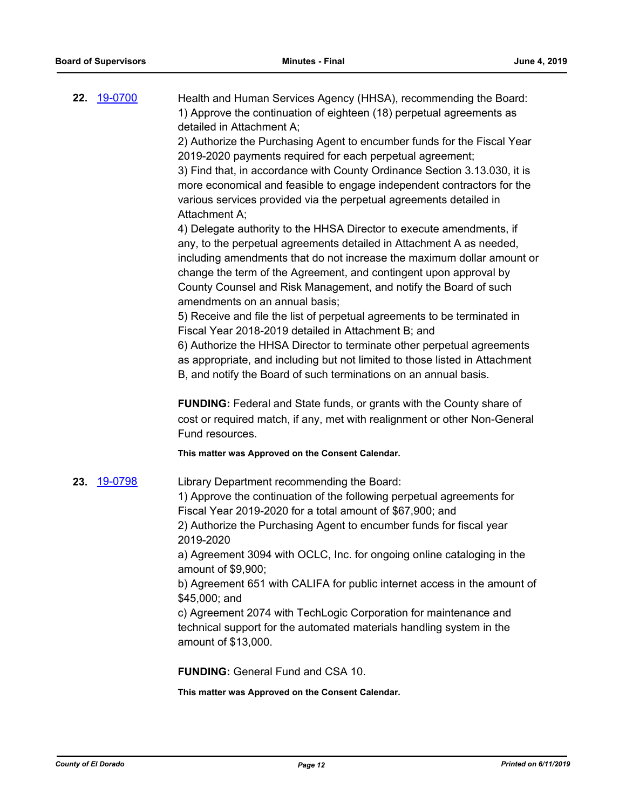| 22. | <u>19-0700</u> | Health and Human Services Agency (HHSA), recommending the Board:<br>1) Approve the continuation of eighteen (18) perpetual agreements as<br>detailed in Attachment A;                                                                                                                                                                                                                             |
|-----|----------------|---------------------------------------------------------------------------------------------------------------------------------------------------------------------------------------------------------------------------------------------------------------------------------------------------------------------------------------------------------------------------------------------------|
|     |                | 2) Authorize the Purchasing Agent to encumber funds for the Fiscal Year<br>2019-2020 payments required for each perpetual agreement;<br>3) Find that, in accordance with County Ordinance Section 3.13.030, it is<br>more economical and feasible to engage independent contractors for the<br>various services provided via the perpetual agreements detailed in<br>Attachment A;                |
|     |                | 4) Delegate authority to the HHSA Director to execute amendments, if<br>any, to the perpetual agreements detailed in Attachment A as needed,<br>including amendments that do not increase the maximum dollar amount or<br>change the term of the Agreement, and contingent upon approval by<br>County Counsel and Risk Management, and notify the Board of such<br>amendments on an annual basis; |
|     |                | 5) Receive and file the list of perpetual agreements to be terminated in                                                                                                                                                                                                                                                                                                                          |
|     |                | Fiscal Year 2018-2019 detailed in Attachment B; and<br>6) Authorize the HHSA Director to terminate other perpetual agreements<br>as appropriate, and including but not limited to those listed in Attachment<br>B, and notify the Board of such terminations on an annual basis.                                                                                                                  |
|     |                | FUNDING: Federal and State funds, or grants with the County share of                                                                                                                                                                                                                                                                                                                              |
|     |                | cost or required match, if any, met with realignment or other Non-General<br>Fund resources.                                                                                                                                                                                                                                                                                                      |
|     |                | This matter was Approved on the Consent Calendar.                                                                                                                                                                                                                                                                                                                                                 |
| 23. | 19-0798        | Library Department recommending the Board:<br>1) Approve the continuation of the following perpetual agreements for                                                                                                                                                                                                                                                                               |
|     |                | Fiscal Year 2019-2020 for a total amount of \$67,900; and                                                                                                                                                                                                                                                                                                                                         |
|     |                | 2) Authorize the Purchasing Agent to encumber funds for fiscal year                                                                                                                                                                                                                                                                                                                               |
|     |                | 2019-2020<br>a) Agreement 3094 with OCLC, Inc. for ongoing online cataloging in the<br>amount of \$9,900;                                                                                                                                                                                                                                                                                         |
|     |                | b) Agreement 651 with CALIFA for public internet access in the amount of                                                                                                                                                                                                                                                                                                                          |
|     |                | \$45,000; and<br>c) Agreement 2074 with TechLogic Corporation for maintenance and<br>technical support for the automated materials handling system in the<br>amount of \$13,000.                                                                                                                                                                                                                  |
|     |                | <b>FUNDING: General Fund and CSA 10.</b>                                                                                                                                                                                                                                                                                                                                                          |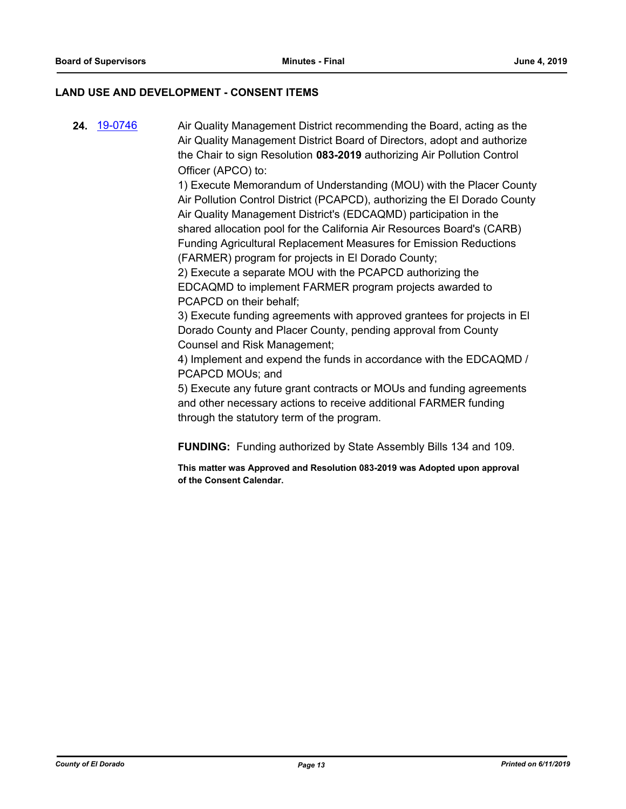# **LAND USE AND DEVELOPMENT - CONSENT ITEMS**

**24.** [19-0746](http://eldorado.legistar.com/gateway.aspx?m=l&id=/matter.aspx?key=26068) Air Quality Management District recommending the Board, acting as the Air Quality Management District Board of Directors, adopt and authorize the Chair to sign Resolution **083-2019** authorizing Air Pollution Control Officer (APCO) to:

> 1) Execute Memorandum of Understanding (MOU) with the Placer County Air Pollution Control District (PCAPCD), authorizing the El Dorado County Air Quality Management District's (EDCAQMD) participation in the shared allocation pool for the California Air Resources Board's (CARB) Funding Agricultural Replacement Measures for Emission Reductions (FARMER) program for projects in El Dorado County;

2) Execute a separate MOU with the PCAPCD authorizing the EDCAQMD to implement FARMER program projects awarded to PCAPCD on their behalf;

3) Execute funding agreements with approved grantees for projects in El Dorado County and Placer County, pending approval from County Counsel and Risk Management;

4) Implement and expend the funds in accordance with the EDCAQMD / PCAPCD MOUs; and

5) Execute any future grant contracts or MOUs and funding agreements and other necessary actions to receive additional FARMER funding through the statutory term of the program.

**FUNDING:** Funding authorized by State Assembly Bills 134 and 109.

**This matter was Approved and Resolution 083-2019 was Adopted upon approval of the Consent Calendar.**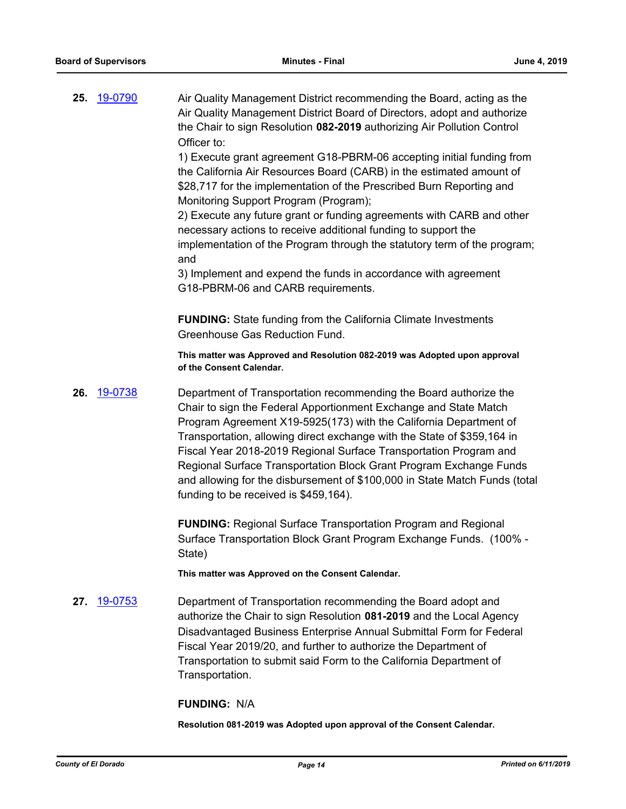**25.** [19-0790](http://eldorado.legistar.com/gateway.aspx?m=l&id=/matter.aspx?key=26113) Air Quality Management District recommending the Board, acting as the Air Quality Management District Board of Directors, adopt and authorize the Chair to sign Resolution **082-2019** authorizing Air Pollution Control Officer to:

> 1) Execute grant agreement G18-PBRM-06 accepting initial funding from the California Air Resources Board (CARB) in the estimated amount of \$28,717 for the implementation of the Prescribed Burn Reporting and Monitoring Support Program (Program);

> 2) Execute any future grant or funding agreements with CARB and other necessary actions to receive additional funding to support the implementation of the Program through the statutory term of the program; and

3) Implement and expend the funds in accordance with agreement G18-PBRM-06 and CARB requirements.

**FUNDING:** State funding from the California Climate Investments Greenhouse Gas Reduction Fund.

**This matter was Approved and Resolution 082-2019 was Adopted upon approval of the Consent Calendar.**

**26.** [19-0738](http://eldorado.legistar.com/gateway.aspx?m=l&id=/matter.aspx?key=26060) Department of Transportation recommending the Board authorize the Chair to sign the Federal Apportionment Exchange and State Match Program Agreement X19-5925(173) with the California Department of Transportation, allowing direct exchange with the State of \$359,164 in Fiscal Year 2018-2019 Regional Surface Transportation Program and Regional Surface Transportation Block Grant Program Exchange Funds and allowing for the disbursement of \$100,000 in State Match Funds (total funding to be received is \$459,164).

> **FUNDING:** Regional Surface Transportation Program and Regional Surface Transportation Block Grant Program Exchange Funds. (100% - State)

**This matter was Approved on the Consent Calendar.**

**27.** [19-0753](http://eldorado.legistar.com/gateway.aspx?m=l&id=/matter.aspx?key=26075) Department of Transportation recommending the Board adopt and authorize the Chair to sign Resolution **081-2019** and the Local Agency Disadvantaged Business Enterprise Annual Submittal Form for Federal Fiscal Year 2019/20, and further to authorize the Department of Transportation to submit said Form to the California Department of Transportation.

### **FUNDING:** N/A

**Resolution 081-2019 was Adopted upon approval of the Consent Calendar.**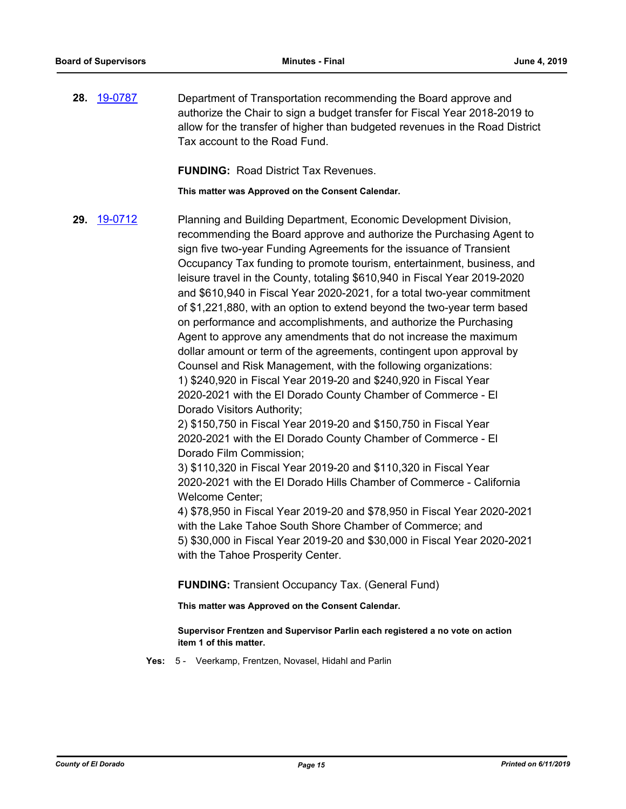**28.** [19-0787](http://eldorado.legistar.com/gateway.aspx?m=l&id=/matter.aspx?key=26110) Department of Transportation recommending the Board approve and authorize the Chair to sign a budget transfer for Fiscal Year 2018-2019 to allow for the transfer of higher than budgeted revenues in the Road District Tax account to the Road Fund.

**FUNDING:** Road District Tax Revenues.

**This matter was Approved on the Consent Calendar.**

**29.** [19-0712](http://eldorado.legistar.com/gateway.aspx?m=l&id=/matter.aspx?key=26034) Planning and Building Department, Economic Development Division, recommending the Board approve and authorize the Purchasing Agent to sign five two-year Funding Agreements for the issuance of Transient Occupancy Tax funding to promote tourism, entertainment, business, and leisure travel in the County, totaling \$610,940 in Fiscal Year 2019-2020 and \$610,940 in Fiscal Year 2020-2021, for a total two-year commitment of \$1,221,880, with an option to extend beyond the two-year term based on performance and accomplishments, and authorize the Purchasing Agent to approve any amendments that do not increase the maximum dollar amount or term of the agreements, contingent upon approval by Counsel and Risk Management, with the following organizations: 1) \$240,920 in Fiscal Year 2019-20 and \$240,920 in Fiscal Year 2020-2021 with the El Dorado County Chamber of Commerce - El Dorado Visitors Authority;

2) \$150,750 in Fiscal Year 2019-20 and \$150,750 in Fiscal Year 2020-2021 with the El Dorado County Chamber of Commerce - El Dorado Film Commission;

3) \$110,320 in Fiscal Year 2019-20 and \$110,320 in Fiscal Year 2020-2021 with the El Dorado Hills Chamber of Commerce - California Welcome Center;

4) \$78,950 in Fiscal Year 2019-20 and \$78,950 in Fiscal Year 2020-2021 with the Lake Tahoe South Shore Chamber of Commerce; and 5) \$30,000 in Fiscal Year 2019-20 and \$30,000 in Fiscal Year 2020-2021 with the Tahoe Prosperity Center.

**FUNDING:** Transient Occupancy Tax. (General Fund)

**This matter was Approved on the Consent Calendar.**

**Supervisor Frentzen and Supervisor Parlin each registered a no vote on action item 1 of this matter.**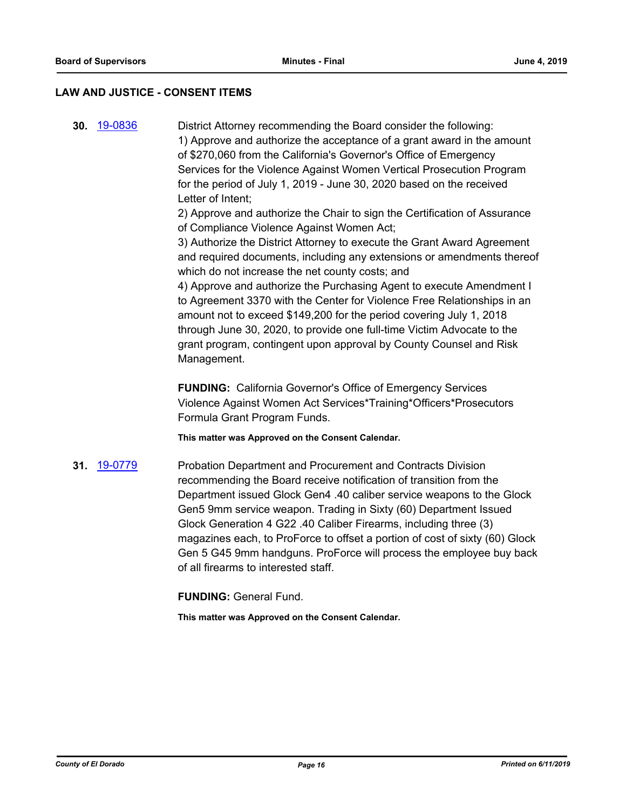### **LAW AND JUSTICE - CONSENT ITEMS**

**30.** [19-0836](http://eldorado.legistar.com/gateway.aspx?m=l&id=/matter.aspx?key=26159) District Attorney recommending the Board consider the following: 1) Approve and authorize the acceptance of a grant award in the amount of \$270,060 from the California's Governor's Office of Emergency Services for the Violence Against Women Vertical Prosecution Program for the period of July 1, 2019 - June 30, 2020 based on the received Letter of Intent;

> 2) Approve and authorize the Chair to sign the Certification of Assurance of Compliance Violence Against Women Act;

3) Authorize the District Attorney to execute the Grant Award Agreement and required documents, including any extensions or amendments thereof which do not increase the net county costs; and

4) Approve and authorize the Purchasing Agent to execute Amendment I to Agreement 3370 with the Center for Violence Free Relationships in an amount not to exceed \$149,200 for the period covering July 1, 2018 through June 30, 2020, to provide one full-time Victim Advocate to the grant program, contingent upon approval by County Counsel and Risk Management.

**FUNDING:** California Governor's Office of Emergency Services Violence Against Women Act Services\*Training\*Officers\*Prosecutors Formula Grant Program Funds.

**This matter was Approved on the Consent Calendar.**

**31.** [19-0779](http://eldorado.legistar.com/gateway.aspx?m=l&id=/matter.aspx?key=26101) Probation Department and Procurement and Contracts Division recommending the Board receive notification of transition from the Department issued Glock Gen4 .40 caliber service weapons to the Glock Gen5 9mm service weapon. Trading in Sixty (60) Department Issued Glock Generation 4 G22 .40 Caliber Firearms, including three (3) magazines each, to ProForce to offset a portion of cost of sixty (60) Glock Gen 5 G45 9mm handguns. ProForce will process the employee buy back of all firearms to interested staff.

**FUNDING:** General Fund.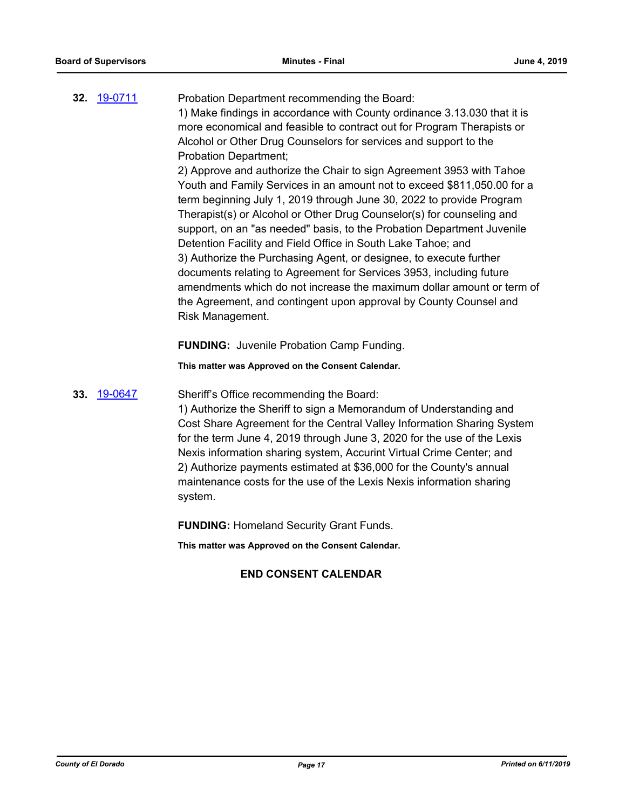| 32. 19-0711 | Probation Department recommending the Board:                             |
|-------------|--------------------------------------------------------------------------|
|             | 1) Make findings in accordance with County ordinance 3.13.030 that it is |
|             | more economical and feasible to contract out for Program Therapists or   |
|             | Alcohol or Other Drug Counselors for services and support to the         |
|             | <b>Probation Department;</b>                                             |
|             | 2) Approve and authorize the Chair to sign Agreement 3953 with Tahoe     |
|             | Youth and Family Services in an amount not to exceed \$811,050.00 for a  |
|             | term beginning July 1, 2019 through June 30, 2022 to provide Program     |
|             | Therapist(s) or Alcohol or Other Drug Counselor(s) for counseling and    |
|             | support, on an "as needed" basis, to the Probation Department Juvenile   |
|             | Detention Facility and Field Office in South Lake Tahoe; and             |
|             | 3) Authorize the Purchasing Agent, or designee, to execute further       |
|             | documents relating to Agreement for Services 3953, including future      |
|             | amendments which do not increase the maximum dollar amount or term of    |
|             | the Agreement, and contingent upon approval by County Counsel and        |

**FUNDING:** Juvenile Probation Camp Funding.

**This matter was Approved on the Consent Calendar.**

**33.** [19-0647](http://eldorado.legistar.com/gateway.aspx?m=l&id=/matter.aspx?key=25969) Sheriff's Office recommending the Board:

Risk Management.

1) Authorize the Sheriff to sign a Memorandum of Understanding and Cost Share Agreement for the Central Valley Information Sharing System for the term June 4, 2019 through June 3, 2020 for the use of the Lexis Nexis information sharing system, Accurint Virtual Crime Center; and 2) Authorize payments estimated at \$36,000 for the County's annual maintenance costs for the use of the Lexis Nexis information sharing system.

**FUNDING:** Homeland Security Grant Funds.

**This matter was Approved on the Consent Calendar.**

# **END CONSENT CALENDAR**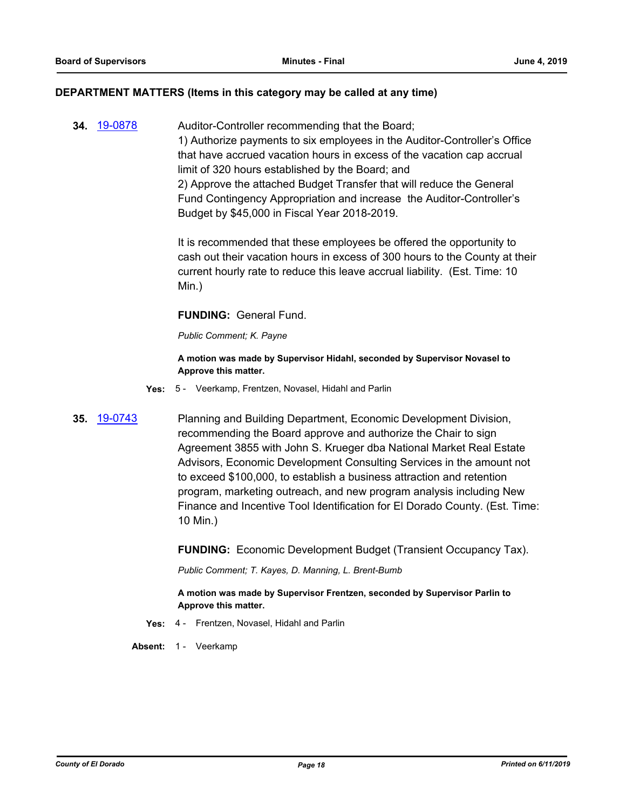### **DEPARTMENT MATTERS (Items in this category may be called at any time)**

**34.** [19-0878](http://eldorado.legistar.com/gateway.aspx?m=l&id=/matter.aspx?key=26201) Auditor-Controller recommending that the Board; 1) Authorize payments to six employees in the Auditor-Controller's Office that have accrued vacation hours in excess of the vacation cap accrual limit of 320 hours established by the Board; and 2) Approve the attached Budget Transfer that will reduce the General Fund Contingency Appropriation and increase the Auditor-Controller's Budget by \$45,000 in Fiscal Year 2018-2019.

> It is recommended that these employees be offered the opportunity to cash out their vacation hours in excess of 300 hours to the County at their current hourly rate to reduce this leave accrual liability. (Est. Time: 10 Min.)

### **FUNDING:** General Fund.

*Public Comment; K. Payne*

**A motion was made by Supervisor Hidahl, seconded by Supervisor Novasel to Approve this matter.**

- **Yes:** 5 Veerkamp, Frentzen, Novasel, Hidahl and Parlin
- **35.** [19-0743](http://eldorado.legistar.com/gateway.aspx?m=l&id=/matter.aspx?key=26065) Planning and Building Department, Economic Development Division, recommending the Board approve and authorize the Chair to sign Agreement 3855 with John S. Krueger dba National Market Real Estate Advisors, Economic Development Consulting Services in the amount not to exceed \$100,000, to establish a business attraction and retention program, marketing outreach, and new program analysis including New Finance and Incentive Tool Identification for El Dorado County. (Est. Time: 10 Min.)

**FUNDING:** Economic Development Budget (Transient Occupancy Tax).

*Public Comment; T. Kayes, D. Manning, L. Brent-Bumb*

**A motion was made by Supervisor Frentzen, seconded by Supervisor Parlin to Approve this matter.**

- **Yes:** 4 Frentzen, Novasel, Hidahl and Parlin
- Absent: 1 Veerkamp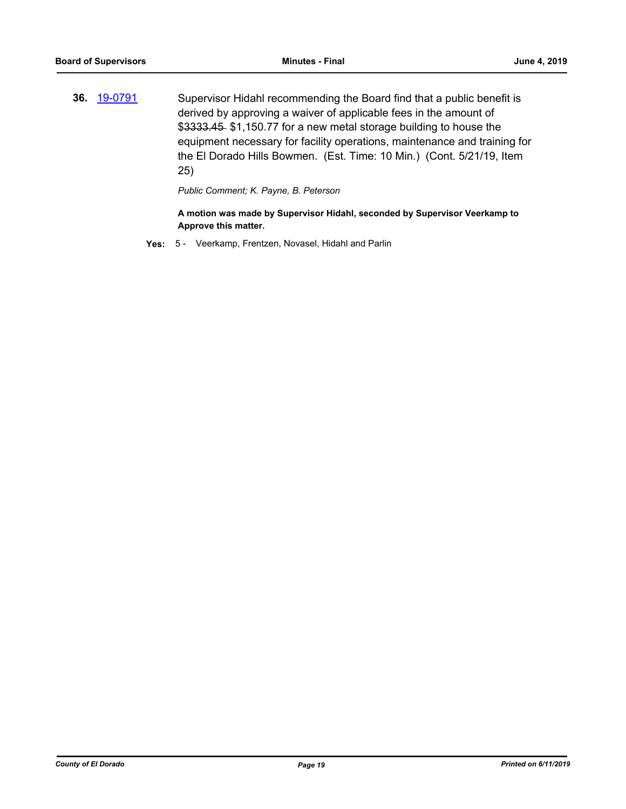**36.** [19-0791](http://eldorado.legistar.com/gateway.aspx?m=l&id=/matter.aspx?key=26114) Supervisor Hidahl recommending the Board find that a public benefit is derived by approving a waiver of applicable fees in the amount of \$3333.45 \$1,150.77 for a new metal storage building to house the equipment necessary for facility operations, maintenance and training for the El Dorado Hills Bowmen. (Est. Time: 10 Min.) (Cont. 5/21/19, Item 25)

*Public Comment; K. Payne, B. Peterson*

**A motion was made by Supervisor Hidahl, seconded by Supervisor Veerkamp to Approve this matter.**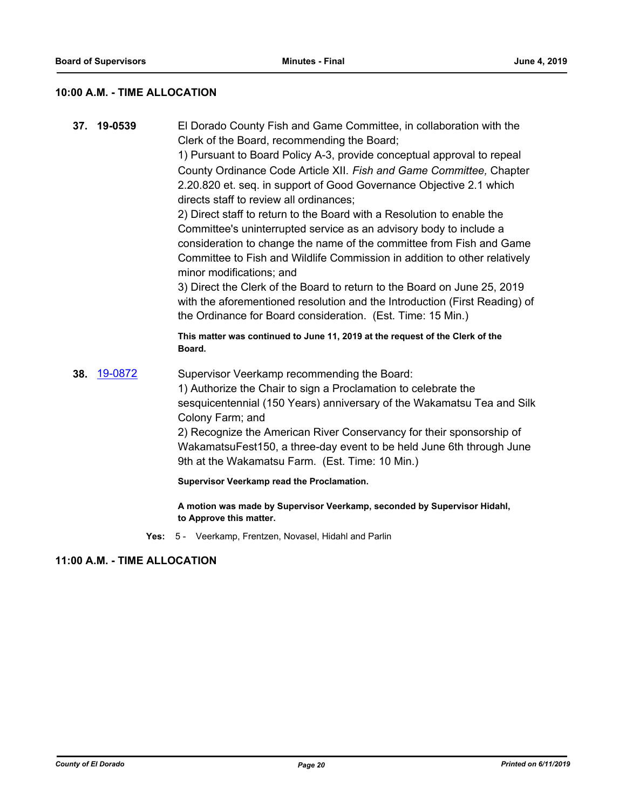# **10:00 A.M. - TIME ALLOCATION**

| 37. 19-0539 | El Dorado County Fish and Game Committee, in collaboration with the<br>Clerk of the Board, recommending the Board;                                                                                                                                              |
|-------------|-----------------------------------------------------------------------------------------------------------------------------------------------------------------------------------------------------------------------------------------------------------------|
|             | 1) Pursuant to Board Policy A-3, provide conceptual approval to repeal                                                                                                                                                                                          |
|             | County Ordinance Code Article XII. Fish and Game Committee, Chapter<br>2.20.820 et. seq. in support of Good Governance Objective 2.1 which<br>directs staff to review all ordinances;<br>2) Direct staff to return to the Board with a Resolution to enable the |
|             | Committee's uninterrupted service as an advisory body to include a<br>consideration to change the name of the committee from Fish and Game                                                                                                                      |
|             | Committee to Fish and Wildlife Commission in addition to other relatively<br>minor modifications; and                                                                                                                                                           |
|             | 3) Direct the Clerk of the Board to return to the Board on June 25, 2019<br>with the aforementioned resolution and the Introduction (First Reading) of<br>the Ordinance for Board consideration. (Est. Time: 15 Min.)                                           |
|             | This matter was continued to June 11, 2019 at the request of the Clerk of the<br>Board.                                                                                                                                                                         |
| 38. 19-0872 | Supervisor Veerkamp recommending the Board:                                                                                                                                                                                                                     |
|             | 1) Authorize the Chair to sign a Proclamation to celebrate the                                                                                                                                                                                                  |
|             | sesquicentennial (150 Years) anniversary of the Wakamatsu Tea and Silk<br>Colony Farm; and                                                                                                                                                                      |
|             | 2) Recognize the American River Conservancy for their sponsorship of                                                                                                                                                                                            |
|             | WakamatsuFest150, a three-day event to be held June 6th through June                                                                                                                                                                                            |
|             | 9th at the Wakamatsu Farm. (Est. Time: 10 Min.)                                                                                                                                                                                                                 |
|             | Supervisor Veerkamp read the Proclamation.                                                                                                                                                                                                                      |
|             | A motion was made by Supervisor Veerkamp, seconded by Supervisor Hidahl,                                                                                                                                                                                        |

**to Approve this matter. Yes:** 5 - Veerkamp, Frentzen, Novasel, Hidahl and Parlin

# **11:00 A.M. - TIME ALLOCATION**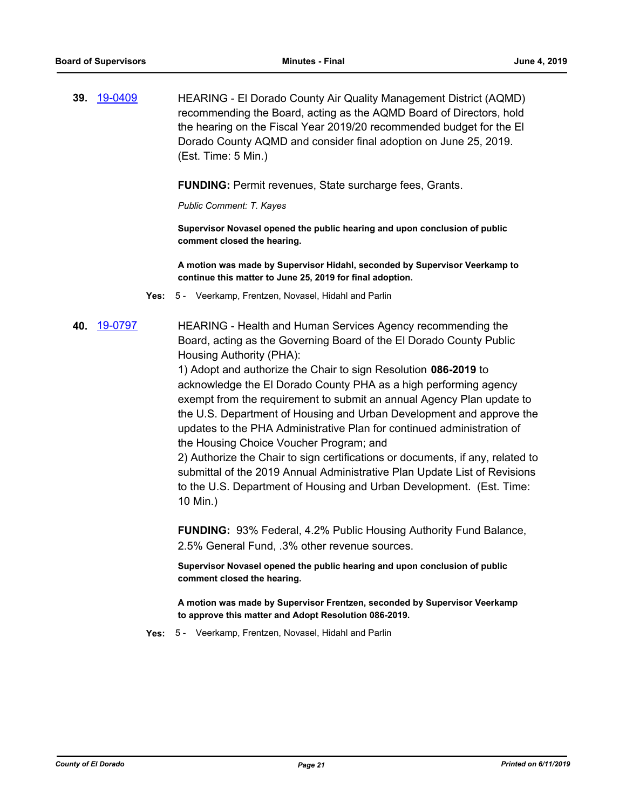**39.** [19-0409](http://eldorado.legistar.com/gateway.aspx?m=l&id=/matter.aspx?key=25730) HEARING - El Dorado County Air Quality Management District (AQMD) recommending the Board, acting as the AQMD Board of Directors, hold the hearing on the Fiscal Year 2019/20 recommended budget for the El Dorado County AQMD and consider final adoption on June 25, 2019. (Est. Time: 5 Min.)

**FUNDING:** Permit revenues, State surcharge fees, Grants.

*Public Comment: T. Kayes*

**Supervisor Novasel opened the public hearing and upon conclusion of public comment closed the hearing.** 

**A motion was made by Supervisor Hidahl, seconded by Supervisor Veerkamp to continue this matter to June 25, 2019 for final adoption.**

- **Yes:** 5 Veerkamp, Frentzen, Novasel, Hidahl and Parlin
- **40.** [19-0797](http://eldorado.legistar.com/gateway.aspx?m=l&id=/matter.aspx?key=26120) HEARING Health and Human Services Agency recommending the Board, acting as the Governing Board of the El Dorado County Public Housing Authority (PHA):

1) Adopt and authorize the Chair to sign Resolution **086-2019** to acknowledge the El Dorado County PHA as a high performing agency exempt from the requirement to submit an annual Agency Plan update to the U.S. Department of Housing and Urban Development and approve the updates to the PHA Administrative Plan for continued administration of the Housing Choice Voucher Program; and

2) Authorize the Chair to sign certifications or documents, if any, related to submittal of the 2019 Annual Administrative Plan Update List of Revisions to the U.S. Department of Housing and Urban Development. (Est. Time: 10 Min.)

**FUNDING:** 93% Federal, 4.2% Public Housing Authority Fund Balance, 2.5% General Fund, .3% other revenue sources.

**Supervisor Novasel opened the public hearing and upon conclusion of public comment closed the hearing.**

**A motion was made by Supervisor Frentzen, seconded by Supervisor Veerkamp to approve this matter and Adopt Resolution 086-2019.**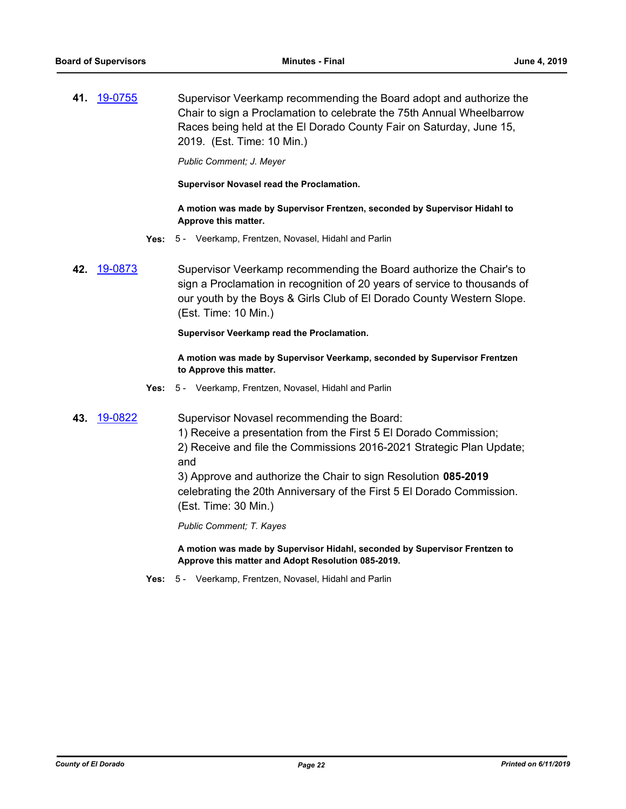**41.** [19-0755](http://eldorado.legistar.com/gateway.aspx?m=l&id=/matter.aspx?key=26077) Supervisor Veerkamp recommending the Board adopt and authorize the Chair to sign a Proclamation to celebrate the 75th Annual Wheelbarrow Races being held at the El Dorado County Fair on Saturday, June 15, 2019. (Est. Time: 10 Min.)

*Public Comment; J. Meyer*

**Supervisor Novasel read the Proclamation.**

### **A motion was made by Supervisor Frentzen, seconded by Supervisor Hidahl to Approve this matter.**

- **Yes:** 5 Veerkamp, Frentzen, Novasel, Hidahl and Parlin
- **42.** [19-0873](http://eldorado.legistar.com/gateway.aspx?m=l&id=/matter.aspx?key=26196) Supervisor Veerkamp recommending the Board authorize the Chair's to sign a Proclamation in recognition of 20 years of service to thousands of our youth by the Boys & Girls Club of El Dorado County Western Slope. (Est. Time: 10 Min.)

### **Supervisor Veerkamp read the Proclamation.**

**A motion was made by Supervisor Veerkamp, seconded by Supervisor Frentzen to Approve this matter.**

**Yes:** 5 - Veerkamp, Frentzen, Novasel, Hidahl and Parlin

**43.** [19-0822](http://eldorado.legistar.com/gateway.aspx?m=l&id=/matter.aspx?key=26145) Supervisor Novasel recommending the Board:

1) Receive a presentation from the First 5 El Dorado Commission;

2) Receive and file the Commissions 2016-2021 Strategic Plan Update; and

3) Approve and authorize the Chair to sign Resolution **085-2019** celebrating the 20th Anniversary of the First 5 El Dorado Commission. (Est. Time: 30 Min.)

*Public Comment; T. Kayes*

**A motion was made by Supervisor Hidahl, seconded by Supervisor Frentzen to Approve this matter and Adopt Resolution 085-2019.**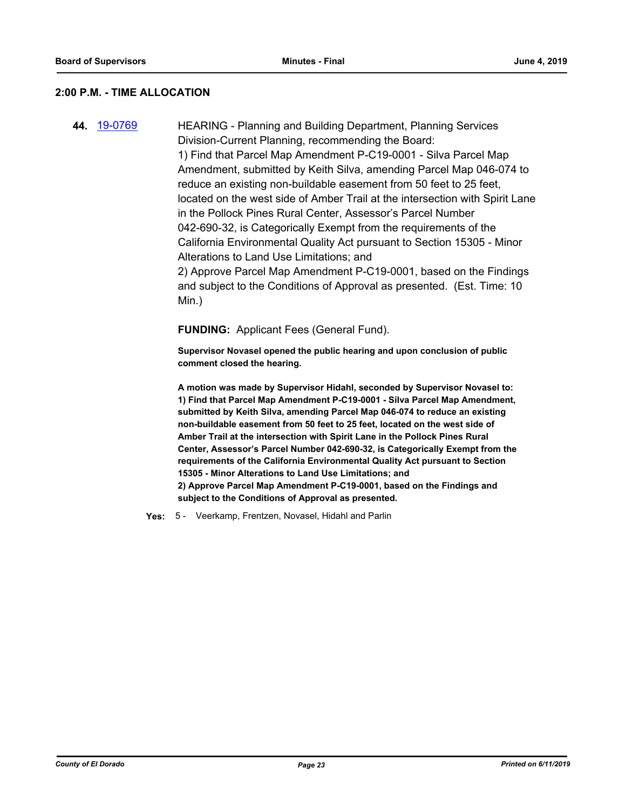### **2:00 P.M. - TIME ALLOCATION**

**44.** [19-0769](http://eldorado.legistar.com/gateway.aspx?m=l&id=/matter.aspx?key=26091) HEARING - Planning and Building Department, Planning Services Division-Current Planning, recommending the Board: 1) Find that Parcel Map Amendment P-C19-0001 - Silva Parcel Map Amendment, submitted by Keith Silva, amending Parcel Map 046-074 to reduce an existing non-buildable easement from 50 feet to 25 feet, located on the west side of Amber Trail at the intersection with Spirit Lane in the Pollock Pines Rural Center, Assessor's Parcel Number 042-690-32, is Categorically Exempt from the requirements of the California Environmental Quality Act pursuant to Section 15305 - Minor Alterations to Land Use Limitations; and 2) Approve Parcel Map Amendment P-C19-0001, based on the Findings and subject to the Conditions of Approval as presented. (Est. Time: 10 Min.)

**FUNDING:** Applicant Fees (General Fund).

**Supervisor Novasel opened the public hearing and upon conclusion of public comment closed the hearing.**

**A motion was made by Supervisor Hidahl, seconded by Supervisor Novasel to: 1) Find that Parcel Map Amendment P-C19-0001 - Silva Parcel Map Amendment, submitted by Keith Silva, amending Parcel Map 046-074 to reduce an existing non-buildable easement from 50 feet to 25 feet, located on the west side of Amber Trail at the intersection with Spirit Lane in the Pollock Pines Rural Center, Assessor's Parcel Number 042-690-32, is Categorically Exempt from the requirements of the California Environmental Quality Act pursuant to Section 15305 - Minor Alterations to Land Use Limitations; and 2) Approve Parcel Map Amendment P-C19-0001, based on the Findings and subject to the Conditions of Approval as presented.**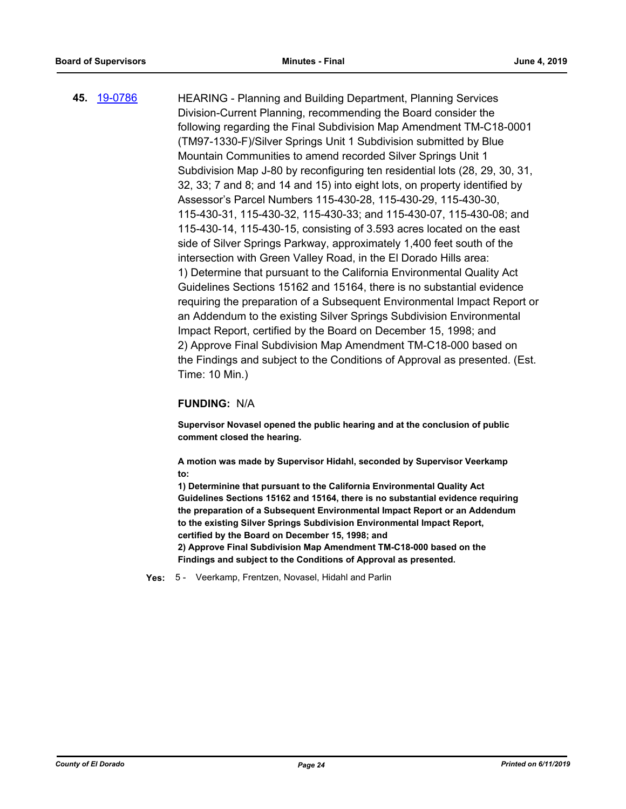**45.** [19-0786](http://eldorado.legistar.com/gateway.aspx?m=l&id=/matter.aspx?key=26109) HEARING - Planning and Building Department, Planning Services Division-Current Planning, recommending the Board consider the following regarding the Final Subdivision Map Amendment TM-C18-0001 (TM97-1330-F)/Silver Springs Unit 1 Subdivision submitted by Blue Mountain Communities to amend recorded Silver Springs Unit 1 Subdivision Map J-80 by reconfiguring ten residential lots (28, 29, 30, 31, 32, 33; 7 and 8; and 14 and 15) into eight lots, on property identified by Assessor's Parcel Numbers 115-430-28, 115-430-29, 115-430-30, 115-430-31, 115-430-32, 115-430-33; and 115-430-07, 115-430-08; and 115-430-14, 115-430-15, consisting of 3.593 acres located on the east side of Silver Springs Parkway, approximately 1,400 feet south of the intersection with Green Valley Road, in the El Dorado Hills area: 1) Determine that pursuant to the California Environmental Quality Act Guidelines Sections 15162 and 15164, there is no substantial evidence requiring the preparation of a Subsequent Environmental Impact Report or an Addendum to the existing Silver Springs Subdivision Environmental Impact Report, certified by the Board on December 15, 1998; and 2) Approve Final Subdivision Map Amendment TM-C18-000 based on the Findings and subject to the Conditions of Approval as presented. (Est. Time: 10 Min.)

### **FUNDING:** N/A

**Supervisor Novasel opened the public hearing and at the conclusion of public comment closed the hearing.** 

**A motion was made by Supervisor Hidahl, seconded by Supervisor Veerkamp to:**

**1) Determinine that pursuant to the California Environmental Quality Act Guidelines Sections 15162 and 15164, there is no substantial evidence requiring the preparation of a Subsequent Environmental Impact Report or an Addendum to the existing Silver Springs Subdivision Environmental Impact Report, certified by the Board on December 15, 1998; and**

**2) Approve Final Subdivision Map Amendment TM-C18-000 based on the Findings and subject to the Conditions of Approval as presented.**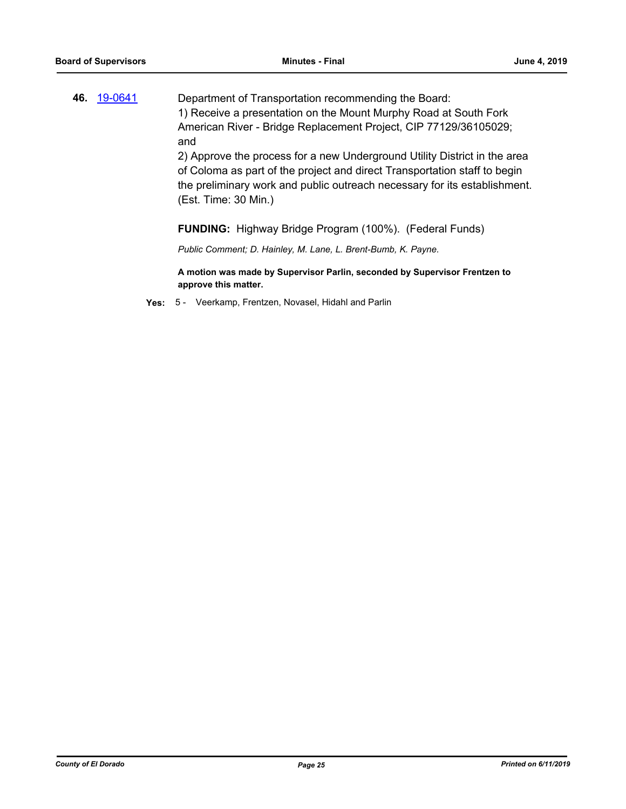**46.** [19-0641](http://eldorado.legistar.com/gateway.aspx?m=l&id=/matter.aspx?key=25963) Department of Transportation recommending the Board: 1) Receive a presentation on the Mount Murphy Road at South Fork American River - Bridge Replacement Project, CIP 77129/36105029; and

2) Approve the process for a new Underground Utility District in the area of Coloma as part of the project and direct Transportation staff to begin the preliminary work and public outreach necessary for its establishment. (Est. Time: 30 Min.)

### **FUNDING:** Highway Bridge Program (100%). (Federal Funds)

*Public Comment; D. Hainley, M. Lane, L. Brent-Bumb, K. Payne.*

**A motion was made by Supervisor Parlin, seconded by Supervisor Frentzen to approve this matter.**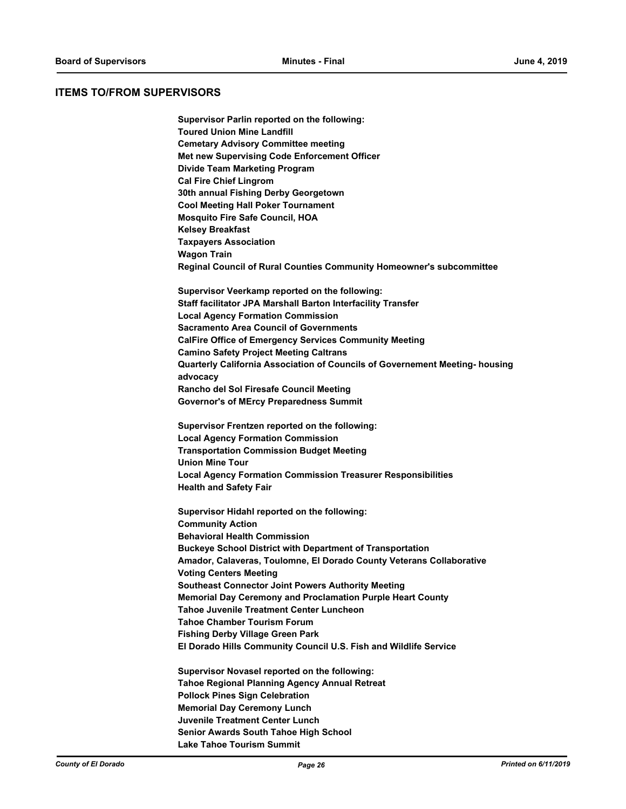### **ITEMS TO/FROM SUPERVISORS**

**Supervisor Parlin reported on the following: Toured Union Mine Landfill Cemetary Advisory Committee meeting Met new Supervising Code Enforcement Officer Divide Team Marketing Program Cal Fire Chief Lingrom 30th annual Fishing Derby Georgetown Cool Meeting Hall Poker Tournament Mosquito Fire Safe Council, HOA Kelsey Breakfast Taxpayers Association Wagon Train Reginal Council of Rural Counties Community Homeowner's subcommittee**

**Supervisor Veerkamp reported on the following: Staff facilitator JPA Marshall Barton Interfacility Transfer Local Agency Formation Commission Sacramento Area Council of Governments CalFire Office of Emergency Services Community Meeting Camino Safety Project Meeting Caltrans Quarterly California Association of Councils of Governement Meeting- housing advocacy Rancho del Sol Firesafe Council Meeting Governor's of MErcy Preparedness Summit**

**Supervisor Frentzen reported on the following: Local Agency Formation Commission Transportation Commission Budget Meeting Union Mine Tour Local Agency Formation Commission Treasurer Responsibilities Health and Safety Fair**

**Supervisor Hidahl reported on the following: Community Action Behavioral Health Commission Buckeye School District with Department of Transportation Amador, Calaveras, Toulomne, El Dorado County Veterans Collaborative Voting Centers Meeting Southeast Connector Joint Powers Authority Meeting Memorial Day Ceremony and Proclamation Purple Heart County Tahoe Juvenile Treatment Center Luncheon Tahoe Chamber Tourism Forum Fishing Derby Village Green Park El Dorado Hills Community Council U.S. Fish and Wildlife Service**

**Supervisor Novasel reported on the following: Tahoe Regional Planning Agency Annual Retreat Pollock Pines Sign Celebration Memorial Day Ceremony Lunch Juvenile Treatment Center Lunch Senior Awards South Tahoe High School Lake Tahoe Tourism Summit**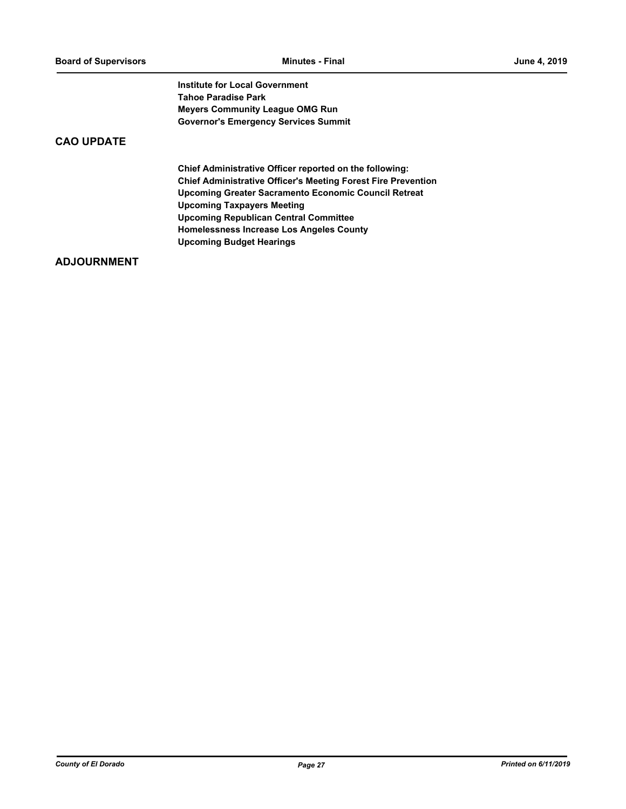**Institute for Local Government Tahoe Paradise Park Meyers Community League OMG Run Governor's Emergency Services Summit**

# **CAO UPDATE**

**Chief Administrative Officer reported on the following: Chief Administrative Officer's Meeting Forest Fire Prevention Upcoming Greater Sacramento Economic Council Retreat Upcoming Taxpayers Meeting Upcoming Republican Central Committee Homelessness Increase Los Angeles County Upcoming Budget Hearings**

# **ADJOURNMENT**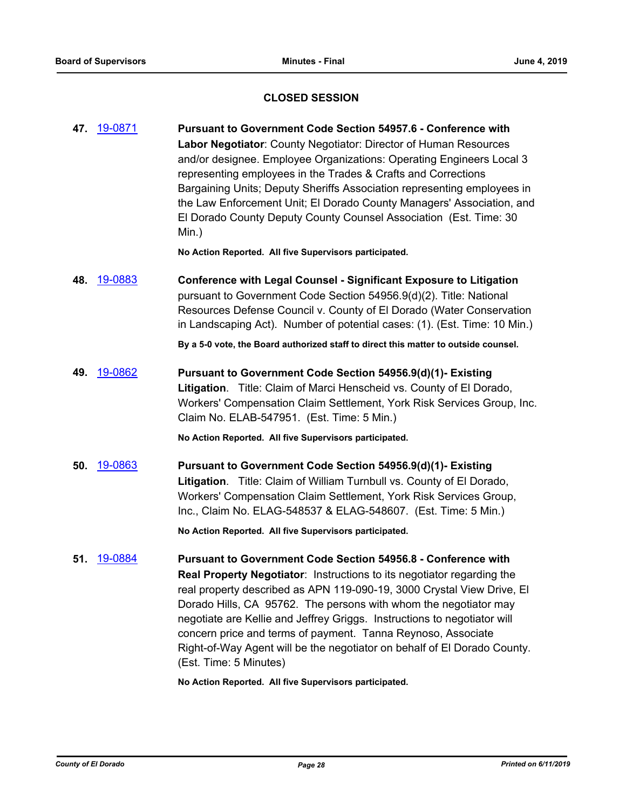# **CLOSED SESSION**

**47.** [19-0871](http://eldorado.legistar.com/gateway.aspx?m=l&id=/matter.aspx?key=26194) **Pursuant to Government Code Section 54957.6 - Conference with Labor Negotiator**: County Negotiator: Director of Human Resources and/or designee. Employee Organizations: Operating Engineers Local 3 representing employees in the Trades & Crafts and Corrections Bargaining Units; Deputy Sheriffs Association representing employees in the Law Enforcement Unit; El Dorado County Managers' Association, and El Dorado County Deputy County Counsel Association (Est. Time: 30 Min.)

**No Action Reported. All five Supervisors participated.**

**48.** [19-0883](http://eldorado.legistar.com/gateway.aspx?m=l&id=/matter.aspx?key=26206) **Conference with Legal Counsel - Significant Exposure to Litigation** pursuant to Government Code Section 54956.9(d)(2). Title: National Resources Defense Council v. County of El Dorado (Water Conservation in Landscaping Act). Number of potential cases: (1). (Est. Time: 10 Min.)

**By a 5-0 vote, the Board authorized staff to direct this matter to outside counsel.**

**49.** [19-0862](http://eldorado.legistar.com/gateway.aspx?m=l&id=/matter.aspx?key=26185) **Pursuant to Government Code Section 54956.9(d)(1)- Existing Litigation**. Title: Claim of Marci Henscheid vs. County of El Dorado, Workers' Compensation Claim Settlement, York Risk Services Group, Inc. Claim No. ELAB-547951. (Est. Time: 5 Min.)

**No Action Reported. All five Supervisors participated.**

**50.** [19-0863](http://eldorado.legistar.com/gateway.aspx?m=l&id=/matter.aspx?key=26186) **Pursuant to Government Code Section 54956.9(d)(1)- Existing Litigation**. Title: Claim of William Turnbull vs. County of El Dorado, Workers' Compensation Claim Settlement, York Risk Services Group, Inc., Claim No. ELAG-548537 & ELAG-548607. (Est. Time: 5 Min.)

**No Action Reported. All five Supervisors participated.**

**51.** [19-0884](http://eldorado.legistar.com/gateway.aspx?m=l&id=/matter.aspx?key=26207) **Pursuant to Government Code Section 54956.8 - Conference with Real Property Negotiator**: Instructions to its negotiator regarding the real property described as APN 119-090-19, 3000 Crystal View Drive, El Dorado Hills, CA 95762. The persons with whom the negotiator may negotiate are Kellie and Jeffrey Griggs. Instructions to negotiator will concern price and terms of payment. Tanna Reynoso, Associate Right-of-Way Agent will be the negotiator on behalf of El Dorado County. (Est. Time: 5 Minutes)

**No Action Reported. All five Supervisors participated.**